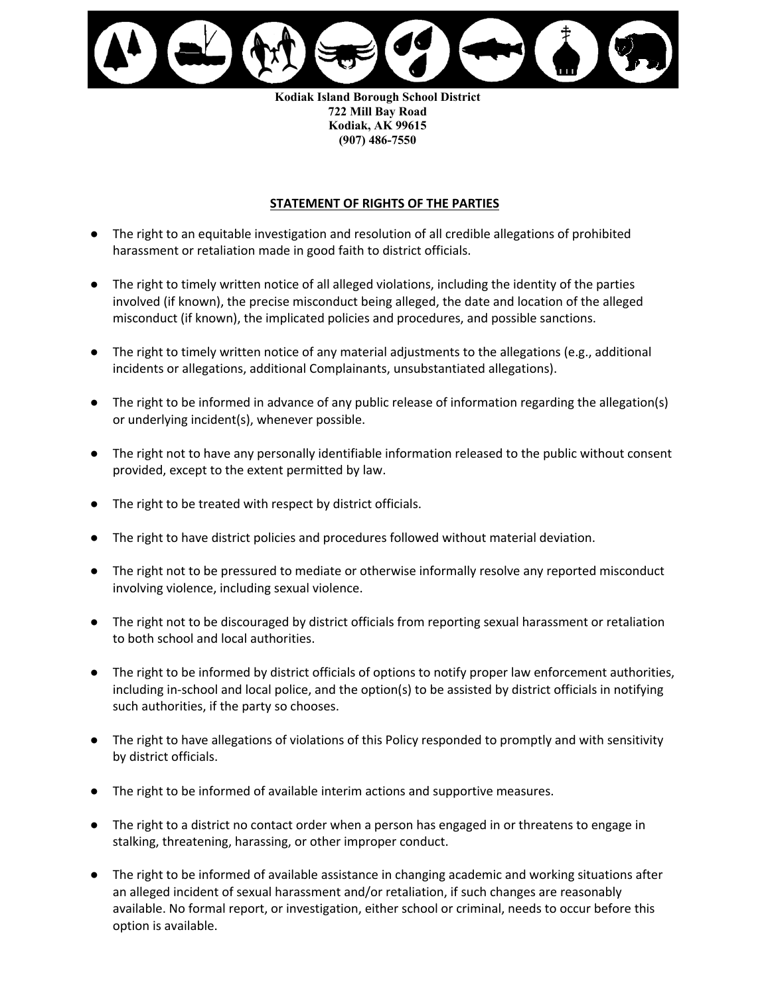

**Kodiak Island Borough School District 722 Mill Bay Road Kodiak, AK 99615 (907) 486-7550**

## **STATEMENT OF RIGHTS OF THE PARTIES**

- The right to an equitable investigation and resolution of all credible allegations of prohibited harassment or retaliation made in good faith to district officials.
- The right to timely written notice of all alleged violations, including the identity of the parties involved (if known), the precise misconduct being alleged, the date and location of the alleged misconduct (if known), the implicated policies and procedures, and possible sanctions.
- The right to timely written notice of any material adjustments to the allegations (e.g., additional incidents or allegations, additional Complainants, unsubstantiated allegations).
- The right to be informed in advance of any public release of information regarding the allegation(s) or underlying incident(s), whenever possible.
- The right not to have any personally identifiable information released to the public without consent provided, except to the extent permitted by law.
- The right to be treated with respect by district officials.
- The right to have district policies and procedures followed without material deviation.
- The right not to be pressured to mediate or otherwise informally resolve any reported misconduct involving violence, including sexual violence.
- The right not to be discouraged by district officials from reporting sexual harassment or retaliation to both school and local authorities.
- The right to be informed by district officials of options to notify proper law enforcement authorities, including in-school and local police, and the option(s) to be assisted by district officials in notifying such authorities, if the party so chooses.
- The right to have allegations of violations of this Policy responded to promptly and with sensitivity by district officials.
- The right to be informed of available interim actions and supportive measures.
- The right to a district no contact order when a person has engaged in or threatens to engage in stalking, threatening, harassing, or other improper conduct.
- The right to be informed of available assistance in changing academic and working situations after an alleged incident of sexual harassment and/or retaliation, if such changes are reasonably available. No formal report, or investigation, either school or criminal, needs to occur before this option is available.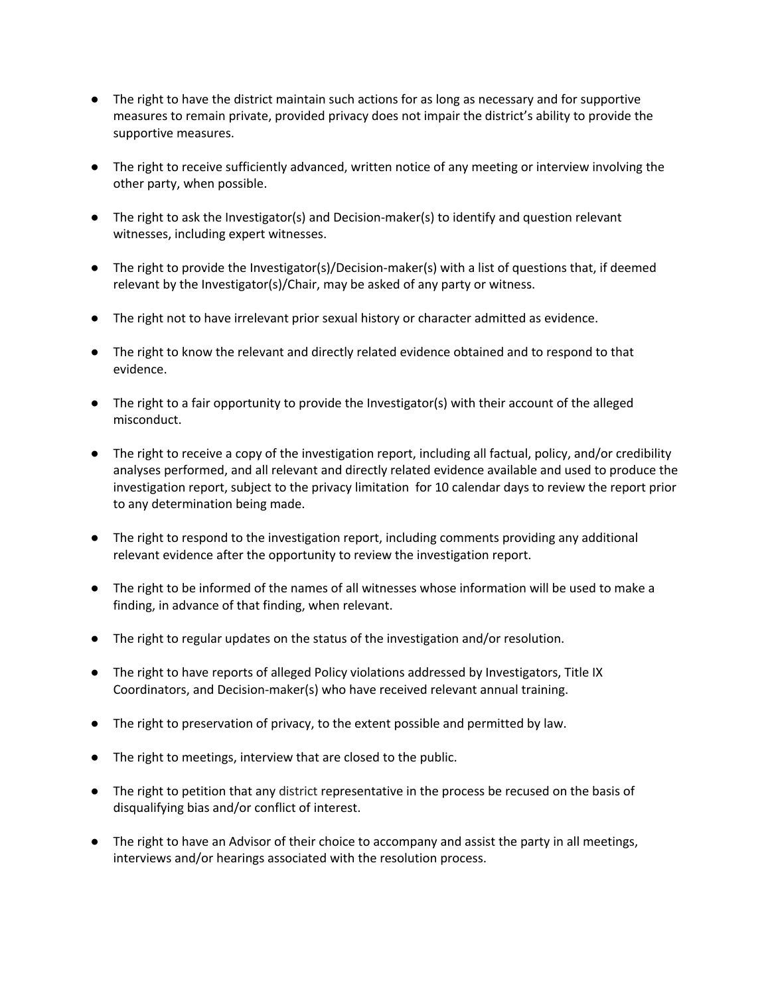- ● The right to have the district maintain such actions for as long as necessary and for supportive measures to remain private, provided privacy does not impair the district's ability to provide the supportive measures.
- ● The right to receive sufficiently advanced, written notice of any meeting or interview involving the other party, when possible.
- ● The right to ask the Investigator(s) and Decision-maker(s) to identify and question relevant witnesses, including expert witnesses.
- ● The right to provide the Investigator(s)/Decision-maker(s) with a list of questions that, if deemed relevant by the Investigator(s)/Chair, may be asked of any party or witness.
- The right not to have irrelevant prior sexual history or character admitted as evidence.
- ● The right to know the relevant and directly related evidence obtained and to respond to that evidence.
- ● The right to a fair opportunity to provide the Investigator(s) with their account of the alleged misconduct.
- ● The right to receive a copy of the investigation report, including all factual, policy, and/or credibility analyses performed, and all relevant and directly related evidence available and used to produce the investigation report, subject to the privacy limitation for 10 calendar days to review the report prior to any determination being made.
- ● The right to respond to the investigation report, including comments providing any additional relevant evidence after the opportunity to review the investigation report.
- ● The right to be informed of the names of all witnesses whose information will be used to make a finding, in advance of that finding, when relevant.
- The right to regular updates on the status of the investigation and/or resolution.
- ● The right to have reports of alleged Policy violations addressed by Investigators, Title IX Coordinators, and Decision-maker(s) who have received relevant annual training.
- The right to preservation of privacy, to the extent possible and permitted by law.
- The right to meetings, interview that are closed to the public.
- ● The right to petition that any district representative in the process be recused on the basis of disqualifying bias and/or conflict of interest.
- ● The right to have an Advisor of their choice to accompany and assist the party in all meetings, interviews and/or hearings associated with the resolution process.